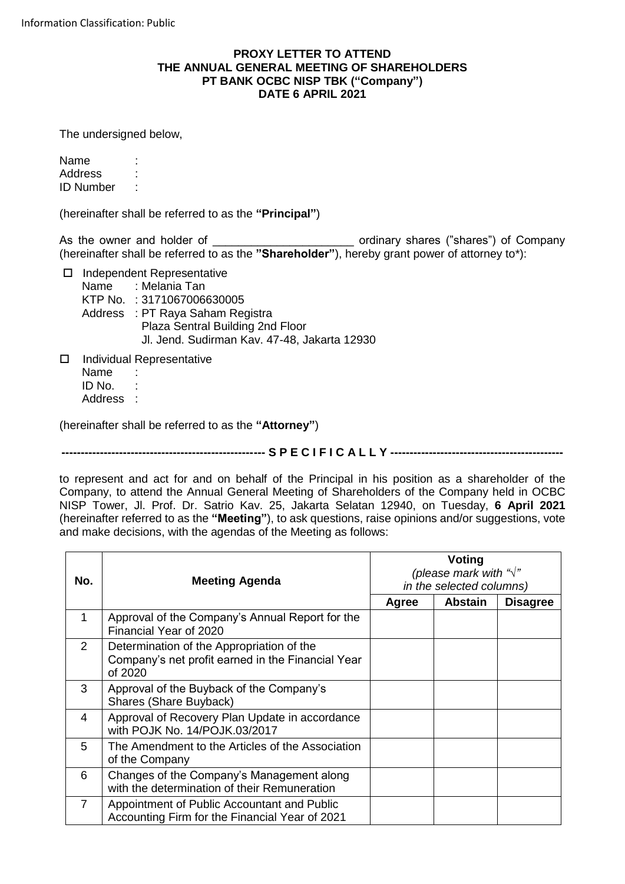## **PROXY LETTER TO ATTEND THE ANNUAL GENERAL MEETING OF SHAREHOLDERS PT BANK OCBC NISP TBK ("Company") DATE 6 APRIL 2021**

The undersigned below.

Name Address : ID Number :

(hereinafter shall be referred to as the **"Principal"**)

As the owner and holder of \_\_\_\_\_\_\_\_\_\_\_\_\_\_\_\_\_\_\_\_\_\_\_\_\_\_\_\_\_\_ ordinary shares ("shares") of Company (hereinafter shall be referred to as the "Shareholder"), hereby grant power of attorney to\*):

□ Independent Representative

Name : Melania Tan KTP No. : 3171067006630005 Address : PT Raya Saham Registra Plaza Sentral Building 2nd Floor Jl. Jend. Sudirman Kav. 47-48, Jakarta 12930

□ Individual Representative Name : ID No. : Address :

(hereinafter shall be referred to as the **"Attorney"**)

**----------------------------------------------------- S P E C I F I C A L L Y ---------------------------------------------**

to represent and act for and on behalf of the Principal in his position as a shareholder of the Company, to attend the Annual General Meeting of Shareholders of the Company held in OCBC NISP Tower, Jl. Prof. Dr. Satrio Kav. 25, Jakarta Selatan 12940, on Tuesday, **6 April 2021** (hereinafter referred to as the **"Meeting"**), to ask questions, raise opinions and/or suggestions, vote and make decisions, with the agendas of the Meeting as follows:

| No.            | <b>Meeting Agenda</b>                                                                                     | Voting<br>(please mark with " $\sqrt{ }$ "<br>in the selected columns) |                |                 |
|----------------|-----------------------------------------------------------------------------------------------------------|------------------------------------------------------------------------|----------------|-----------------|
|                |                                                                                                           | Agree                                                                  | <b>Abstain</b> | <b>Disagree</b> |
| 1              | Approval of the Company's Annual Report for the<br>Financial Year of 2020                                 |                                                                        |                |                 |
| 2              | Determination of the Appropriation of the<br>Company's net profit earned in the Financial Year<br>of 2020 |                                                                        |                |                 |
| 3              | Approval of the Buyback of the Company's<br>Shares (Share Buyback)                                        |                                                                        |                |                 |
| 4              | Approval of Recovery Plan Update in accordance<br>with POJK No. 14/POJK.03/2017                           |                                                                        |                |                 |
| 5              | The Amendment to the Articles of the Association<br>of the Company                                        |                                                                        |                |                 |
| 6              | Changes of the Company's Management along<br>with the determination of their Remuneration                 |                                                                        |                |                 |
| $\overline{7}$ | Appointment of Public Accountant and Public<br>Accounting Firm for the Financial Year of 2021             |                                                                        |                |                 |